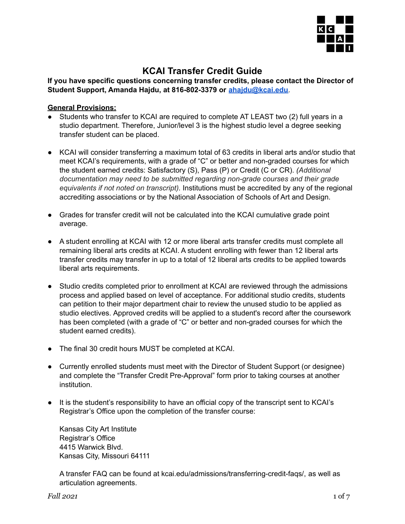

# **KCAI Transfer Credit Guide**

**If you have specific questions concerning transfer credits, please contact the Director of Student Support, Amanda Hajdu, at 816-802-3379 or [ahajdu@kcai.edu](mailto:ahajdu@kcai.edu)**.

# **General Provisions:**

- Students who transfer to KCAI are required to complete AT LEAST two (2) full years in a studio department. Therefore, Junior/level 3 is the highest studio level a degree seeking transfer student can be placed.
- KCAI will consider transferring a maximum total of 63 credits in liberal arts and/or studio that meet KCAI's requirements, with a grade of "C" or better and non-graded courses for which the student earned credits: Satisfactory (S), Pass (P) or Credit (C or CR). *(Additional documentation may need to be submitted regarding non-grade courses and their grade equivalents if not noted on transcript).* Institutions must be accredited by any of the regional accrediting associations or by the National Association of Schools of Art and Design.
- Grades for transfer credit will not be calculated into the KCAI cumulative grade point average.
- A student enrolling at KCAI with 12 or more liberal arts transfer credits must complete all remaining liberal arts credits at KCAI. A student enrolling with fewer than 12 liberal arts transfer credits may transfer in up to a total of 12 liberal arts credits to be applied towards liberal arts requirements.
- Studio credits completed prior to enrollment at KCAI are reviewed through the admissions process and applied based on level of acceptance. For additional studio credits, students can petition to their major department chair to review the unused studio to be applied as studio electives. Approved credits will be applied to a student's record after the coursework has been completed (with a grade of "C" or better and non-graded courses for which the student earned credits).
- The final 30 credit hours MUST be completed at KCAI.
- Currently enrolled students must meet with the Director of Student Support (or designee) and complete the "Transfer Credit Pre-Approval" form prior to taking courses at another institution.
- It is the student's responsibility to have an official copy of the transcript sent to KCAI's Registrar's Office upon the completion of the transfer course:

Kansas City Art Institute Registrar's Office 4415 Warwick Blvd. Kansas City, Missouri 64111

A transfer FAQ can be found at kcai.edu/admissions/transferring-credit-faqs/, as well as articulation agreements.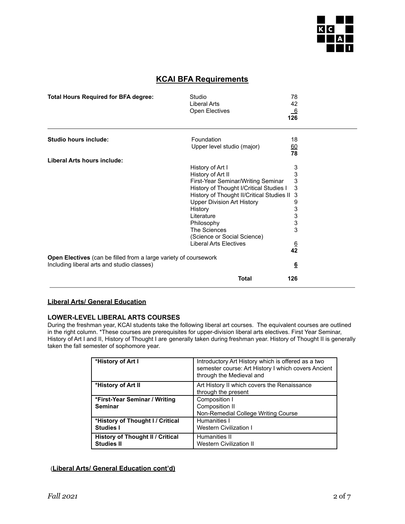

# **KCAI BFA Requirements**

| <b>Total Hours Required for BFA degree:</b>                      | Studio<br><b>Liberal Arts</b><br>Open Electives | 78<br>42<br>$\frac{6}{126}$ |  |
|------------------------------------------------------------------|-------------------------------------------------|-----------------------------|--|
| <b>Studio hours include:</b>                                     | Foundation<br>Upper level studio (major)        | 18<br>60                    |  |
|                                                                  |                                                 | 78                          |  |
| Liberal Arts hours include:                                      |                                                 |                             |  |
|                                                                  | History of Art I                                | 3                           |  |
|                                                                  | History of Art II                               | 3                           |  |
|                                                                  | First-Year Seminar/Writing Seminar              | 3                           |  |
|                                                                  | History of Thought I/Critical Studies I         | 3                           |  |
|                                                                  | History of Thought II/Critical Studies II       | 3                           |  |
|                                                                  | <b>Upper Division Art History</b>               | 9                           |  |
|                                                                  | History                                         | 3                           |  |
|                                                                  | Literature                                      | 3                           |  |
|                                                                  | Philosophy                                      | 3                           |  |
|                                                                  | The Sciences                                    | 3                           |  |
|                                                                  | (Science or Social Science)                     |                             |  |
|                                                                  | <b>Liberal Arts Electives</b>                   |                             |  |
|                                                                  |                                                 | $\frac{6}{42}$              |  |
| Open Electives (can be filled from a large variety of coursework |                                                 |                             |  |
| Including liberal arts and studio classes)                       |                                                 | $6\overline{6}$             |  |
|                                                                  | <b>Total</b>                                    | 126                         |  |

#### **Liberal Arts/ General Education**

## **LOWER-LEVEL LIBERAL ARTS COURSES**

During the freshman year, KCAI students take the following liberal art courses. The equivalent courses are outlined in the right column. \*These courses are prerequisites for upper-division liberal arts electives. First Year Seminar, History of Art I and II, History of Thought I are generally taken during freshman year. History of Thought II is generally taken the fall semester of sophomore year.

| *History of Art I                                            | Introductory Art History which is offered as a two<br>semester course: Art History I which covers Ancient<br>through the Medieval and |
|--------------------------------------------------------------|---------------------------------------------------------------------------------------------------------------------------------------|
| *History of Art II                                           | Art History II which covers the Renaissance<br>through the present                                                                    |
| *First-Year Seminar / Writing<br><b>Seminar</b>              | Composition I<br>Composition II<br>Non-Remedial College Writing Course                                                                |
| *History of Thought I / Critical<br><b>Studies I</b>         | Humanities I<br><b>Western Civilization I</b>                                                                                         |
| <b>History of Thought II / Critical</b><br><b>Studies II</b> | Humanities II<br><b>Western Civilization II</b>                                                                                       |

#### (**Liberal Arts/ General Education cont'd)**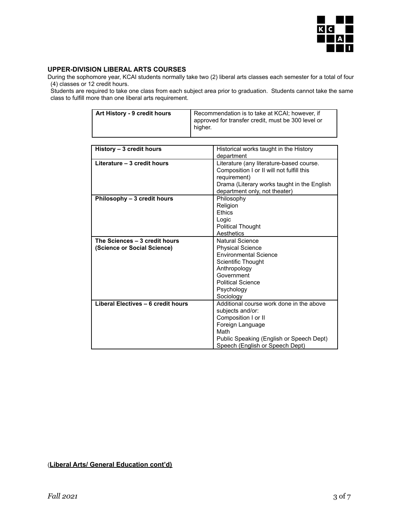

#### **UPPER-DIVISION LIBERAL ARTS COURSES**

During the sophomore year, KCAI students normally take two (2) liberal arts classes each semester for a total of four (4) classes or 12 credit hours.

Students are required to take one class from each subject area prior to graduation. Students cannot take the same class to fulfill more than one liberal arts requirement.

| Art History - 9 credit hours | Recommendation is to take at KCAI; however, if     |
|------------------------------|----------------------------------------------------|
|                              | approved for transfer credit, must be 300 level or |
|                              | higher.                                            |
|                              |                                                    |

| History - 3 credit hours                                     | Historical works taught in the History                                                                                                                                                         |  |
|--------------------------------------------------------------|------------------------------------------------------------------------------------------------------------------------------------------------------------------------------------------------|--|
|                                                              | department                                                                                                                                                                                     |  |
| Literature - 3 credit hours                                  | Literature (any literature-based course.<br>Composition I or II will not fulfill this<br>requirement)<br>Drama (Literary works taught in the English<br>department only, not theater)          |  |
| Philosophy - 3 credit hours                                  | Philosophy<br>Religion<br><b>Fthics</b><br>Logic<br><b>Political Thought</b>                                                                                                                   |  |
|                                                              | Aesthetics                                                                                                                                                                                     |  |
| The Sciences - 3 credit hours<br>(Science or Social Science) | Natural Science<br><b>Physical Science</b><br><b>Environmental Science</b><br>Scientific Thought<br>Anthropology<br>Government<br><b>Political Science</b><br>Psychology<br>Sociology          |  |
| Liberal Electives - 6 credit hours                           | Additional course work done in the above<br>subjects and/or:<br>Composition I or II<br>Foreign Language<br>Math<br>Public Speaking (English or Speech Dept)<br>Speech (English or Speech Dept) |  |

(**Liberal Arts/ General Education cont'd)**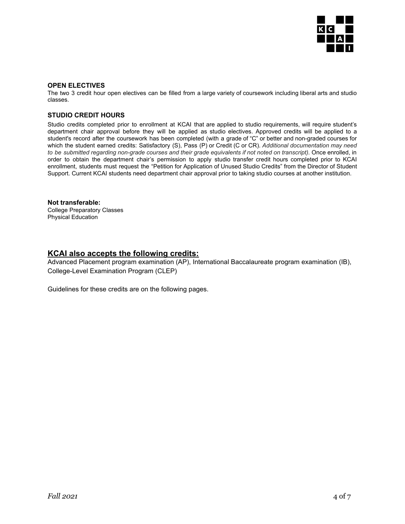

#### **OPEN ELECTIVES**

The two 3 credit hour open electives can be filled from a large variety of coursework including liberal arts and studio classes.

#### **STUDIO CREDIT HOURS**

Studio credits completed prior to enrollment at KCAI that are applied to studio requirements, will require student's department chair approval before they will be applied as studio electives. Approved credits will be applied to a student's record after the coursework has been completed (with a grade of "C" or better and non-graded courses for which the student earned credits: Satisfactory (S), Pass (P) or Credit (C or CR). *Additional documentation may need to be submitted regarding non-grade courses and their grade equivalents if not noted on transcript).* Once enrolled, in order to obtain the department chair's permission to apply studio transfer credit hours completed prior to KCAI enrollment, students must request the "Petition for Application of Unused Studio Credits" from the Director of Student Support. Current KCAI students need department chair approval prior to taking studio courses at another institution.

#### **Not transferable:**

College Preparatory Classes Physical Education

#### **KCAI also accepts the following credits:**

Advanced Placement program examination (AP), International Baccalaureate program examination (IB), College-Level Examination Program (CLEP)

Guidelines for these credits are on the following pages.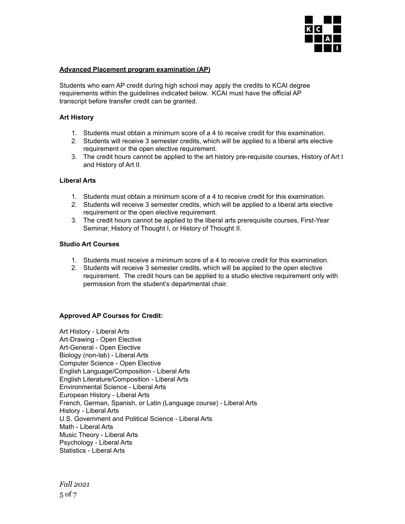

#### **Advanced Placement program examination (AP)**

Students who earn AP credit during high school may apply the credits to KCAI degree requirements within the guidelines indicated below. KCAI must have the official AP transcript before transfer credit can be granted.

#### **Art History**

- 1. Students must obtain a minimum score of a 4 to receive credit for this examination.
- 2. Students will receive 3 semester credits, which will be applied to a liberal arts elective requirement or the open elective requirement.
- 3. The credit hours cannot be applied to the art history pre-requisite courses, History of Art I and History of Art II.

#### **Liberal Arts**

- 1. Students must obtain a minimum score of a 4 to receive credit for this examination.
- 2. Students will receive 3 semester credits, which will be applied to a liberal arts elective requirement or the open elective requirement.
- 3. The credit hours cannot be applied to the liberal arts prerequisite courses, First-Year Seminar, History of Thought I, or History of Thought II.

#### **Studio Art Courses**

- 1. Students must receive a minimum score of a 4 to receive credit for this examination.
- 2. Students will receive 3 semester credits, which will be applied to the open elective requirement. The credit hours can be applied to a studio elective requirement only with permission from the student's departmental chair.

#### **Approved AP Courses for Credit:**

Art History - Liberal Arts Art-Drawing - Open Elective Art-General - Open Elective Biology (non-lab) - Liberal Arts Computer Science - Open Elective English Language/Composition - Liberal Arts English Literature/Composition - Liberal Arts Environmental Science - Liberal Arts European History - Liberal Arts French, German, Spanish, or Latin (Language course) - Liberal Arts History - Liberal Arts U.S. Government and Political Science - Liberal Arts Math - Liberal Arts Music Theory - Liberal Arts Psychology - Liberal Arts Statistics - Liberal Arts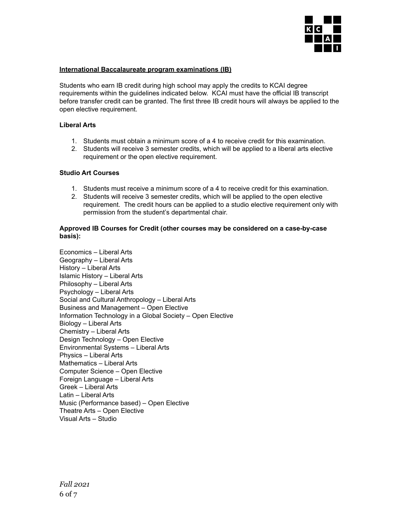

#### **International Baccalaureate program examinations (IB)**

Students who earn IB credit during high school may apply the credits to KCAI degree requirements within the guidelines indicated below. KCAI must have the official IB transcript before transfer credit can be granted. The first three IB credit hours will always be applied to the open elective requirement.

#### **Liberal Arts**

- 1. Students must obtain a minimum score of a 4 to receive credit for this examination.
- 2. Students will receive 3 semester credits, which will be applied to a liberal arts elective requirement or the open elective requirement.

#### **Studio Art Courses**

- 1. Students must receive a minimum score of a 4 to receive credit for this examination.
- 2. Students will receive 3 semester credits, which will be applied to the open elective requirement. The credit hours can be applied to a studio elective requirement only with permission from the student's departmental chair.

#### **Approved IB Courses for Credit (other courses may be considered on a case-by-case basis):**

Economics – Liberal Arts Geography – Liberal Arts History – Liberal Arts Islamic History – Liberal Arts Philosophy – Liberal Arts Psychology – Liberal Arts Social and Cultural Anthropology – Liberal Arts Business and Management – Open Elective Information Technology in a Global Society – Open Elective Biology – Liberal Arts Chemistry – Liberal Arts Design Technology – Open Elective Environmental Systems – Liberal Arts Physics – Liberal Arts Mathematics – Liberal Arts Computer Science – Open Elective Foreign Language – Liberal Arts Greek – Liberal Arts Latin – Liberal Arts Music (Performance based) – Open Elective Theatre Arts – Open Elective Visual Arts – Studio